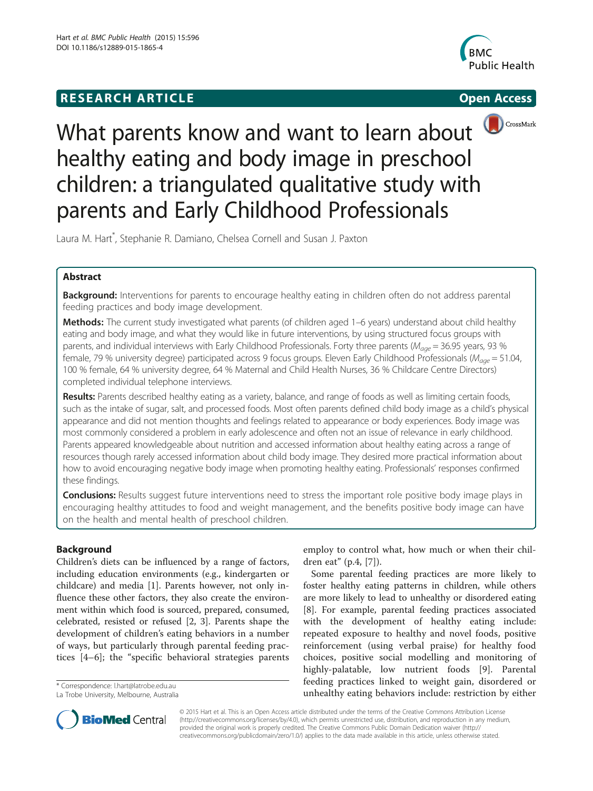# **RESEARCH ARTICLE Example 2014 12:30 The SEAR CHIPS 2014 12:30 The Open Access**





What parents know and want to learn about healthy eating and body image in preschool children: a triangulated qualitative study with parents and Early Childhood Professionals

Laura M. Hart<sup>\*</sup>, Stephanie R. Damiano, Chelsea Cornell and Susan J. Paxton

## Abstract

Background: Interventions for parents to encourage healthy eating in children often do not address parental feeding practices and body image development.

Methods: The current study investigated what parents (of children aged 1–6 years) understand about child healthy eating and body image, and what they would like in future interventions, by using structured focus groups with parents, and individual interviews with Early Childhood Professionals. Forty three parents ( $M_{age}$  = 36.95 years, 93 % female, 79 % university degree) participated across 9 focus groups. Eleven Early Childhood Professionals ( $M_{age} = 51.04$ , 100 % female, 64 % university degree, 64 % Maternal and Child Health Nurses, 36 % Childcare Centre Directors) completed individual telephone interviews.

Results: Parents described healthy eating as a variety, balance, and range of foods as well as limiting certain foods, such as the intake of sugar, salt, and processed foods. Most often parents defined child body image as a child's physical appearance and did not mention thoughts and feelings related to appearance or body experiences. Body image was most commonly considered a problem in early adolescence and often not an issue of relevance in early childhood. Parents appeared knowledgeable about nutrition and accessed information about healthy eating across a range of resources though rarely accessed information about child body image. They desired more practical information about how to avoid encouraging negative body image when promoting healthy eating. Professionals' responses confirmed these findings.

**Conclusions:** Results suggest future interventions need to stress the important role positive body image plays in encouraging healthy attitudes to food and weight management, and the benefits positive body image can have on the health and mental health of preschool children.

## Background

Children's diets can be influenced by a range of factors, including education environments (e.g., kindergarten or childcare) and media [[1](#page-11-0)]. Parents however, not only influence these other factors, they also create the environment within which food is sourced, prepared, consumed, celebrated, resisted or refused [[2, 3](#page-11-0)]. Parents shape the development of children's eating behaviors in a number of ways, but particularly through parental feeding practices [[4](#page-11-0)–[6\]](#page-11-0); the "specific behavioral strategies parents

La Trobe University, Melbourne, Australia

employ to control what, how much or when their children eat" (p.4, [[7\]](#page-11-0)).

Some parental feeding practices are more likely to foster healthy eating patterns in children, while others are more likely to lead to unhealthy or disordered eating [[8\]](#page-11-0). For example, parental feeding practices associated with the development of healthy eating include: repeated exposure to healthy and novel foods, positive reinforcement (using verbal praise) for healthy food choices, positive social modelling and monitoring of highly-palatable, low nutrient foods [[9\]](#page-11-0). Parental feeding practices linked to weight gain, disordered or \* Correspondence: [l.hart@latrobe.edu.au](mailto:l.hart@latrobe.edu.au)<br>La Trobe University, Melbourne, Australia **and Exercise 2018** and the **unhealthy eating behaviors include: restriction by either** 



© 2015 Hart et al. This is an Open Access article distributed under the terms of the Creative Commons Attribution License [\(http://creativecommons.org/licenses/by/4.0\)](http://creativecommons.org/licenses/by/4.0), which permits unrestricted use, distribution, and reproduction in any medium, provided the original work is properly credited. The Creative Commons Public Domain Dedication waiver [\(http://](http://creativecommons.org/publicdomain/zero/1.0/) [creativecommons.org/publicdomain/zero/1.0/\)](http://creativecommons.org/publicdomain/zero/1.0/) applies to the data made available in this article, unless otherwise stated.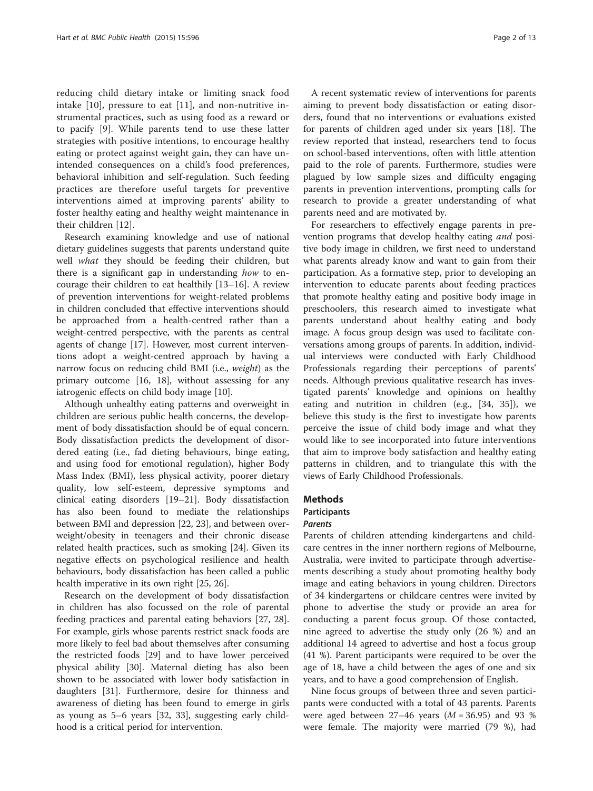reducing child dietary intake or limiting snack food intake [\[10](#page-11-0)], pressure to eat [\[11](#page-11-0)], and non-nutritive instrumental practices, such as using food as a reward or to pacify [\[9](#page-11-0)]. While parents tend to use these latter strategies with positive intentions, to encourage healthy eating or protect against weight gain, they can have unintended consequences on a child's food preferences, behavioral inhibition and self-regulation. Such feeding practices are therefore useful targets for preventive interventions aimed at improving parents' ability to foster healthy eating and healthy weight maintenance in their children [[12\]](#page-11-0).

Research examining knowledge and use of national dietary guidelines suggests that parents understand quite well what they should be feeding their children, but there is a significant gap in understanding how to encourage their children to eat healthily [[13](#page-11-0)–[16](#page-11-0)]. A review of prevention interventions for weight-related problems in children concluded that effective interventions should be approached from a health-centred rather than a weight-centred perspective, with the parents as central agents of change [\[17\]](#page-11-0). However, most current interventions adopt a weight-centred approach by having a narrow focus on reducing child BMI (i.e., weight) as the primary outcome [[16](#page-11-0), [18](#page-11-0)], without assessing for any iatrogenic effects on child body image [[10](#page-11-0)].

Although unhealthy eating patterns and overweight in children are serious public health concerns, the development of body dissatisfaction should be of equal concern. Body dissatisfaction predicts the development of disordered eating (i.e., fad dieting behaviours, binge eating, and using food for emotional regulation), higher Body Mass Index (BMI), less physical activity, poorer dietary quality, low self-esteem, depressive symptoms and clinical eating disorders [\[19](#page-11-0)–[21](#page-11-0)]. Body dissatisfaction has also been found to mediate the relationships between BMI and depression [\[22, 23\]](#page-11-0), and between overweight/obesity in teenagers and their chronic disease related health practices, such as smoking [\[24](#page-11-0)]. Given its negative effects on psychological resilience and health behaviours, body dissatisfaction has been called a public health imperative in its own right [\[25, 26\]](#page-11-0).

Research on the development of body dissatisfaction in children has also focussed on the role of parental feeding practices and parental eating behaviors [[27, 28](#page-11-0)]. For example, girls whose parents restrict snack foods are more likely to feel bad about themselves after consuming the restricted foods [[29\]](#page-11-0) and to have lower perceived physical ability [[30\]](#page-11-0). Maternal dieting has also been shown to be associated with lower body satisfaction in daughters [[31\]](#page-11-0). Furthermore, desire for thinness and awareness of dieting has been found to emerge in girls as young as 5–6 years [\[32, 33](#page-11-0)], suggesting early childhood is a critical period for intervention.

A recent systematic review of interventions for parents aiming to prevent body dissatisfaction or eating disorders, found that no interventions or evaluations existed for parents of children aged under six years [[18\]](#page-11-0). The review reported that instead, researchers tend to focus on school-based interventions, often with little attention paid to the role of parents. Furthermore, studies were plagued by low sample sizes and difficulty engaging parents in prevention interventions, prompting calls for research to provide a greater understanding of what parents need and are motivated by.

For researchers to effectively engage parents in prevention programs that develop healthy eating and positive body image in children, we first need to understand what parents already know and want to gain from their participation. As a formative step, prior to developing an intervention to educate parents about feeding practices that promote healthy eating and positive body image in preschoolers, this research aimed to investigate what parents understand about healthy eating and body image. A focus group design was used to facilitate conversations among groups of parents. In addition, individual interviews were conducted with Early Childhood Professionals regarding their perceptions of parents' needs. Although previous qualitative research has investigated parents' knowledge and opinions on healthy eating and nutrition in children (e.g., [[34, 35](#page-11-0)]), we believe this study is the first to investigate how parents perceive the issue of child body image and what they would like to see incorporated into future interventions that aim to improve body satisfaction and healthy eating patterns in children, and to triangulate this with the views of Early Childhood Professionals.

## Methods

## Participants

## Parents

Parents of children attending kindergartens and childcare centres in the inner northern regions of Melbourne, Australia, were invited to participate through advertisements describing a study about promoting healthy body image and eating behaviors in young children. Directors of 34 kindergartens or childcare centres were invited by phone to advertise the study or provide an area for conducting a parent focus group. Of those contacted, nine agreed to advertise the study only (26 %) and an additional 14 agreed to advertise and host a focus group (41 %). Parent participants were required to be over the age of 18, have a child between the ages of one and six years, and to have a good comprehension of English.

Nine focus groups of between three and seven participants were conducted with a total of 43 parents. Parents were aged between  $27-46$  years ( $M = 36.95$ ) and 93 % were female. The majority were married (79 %), had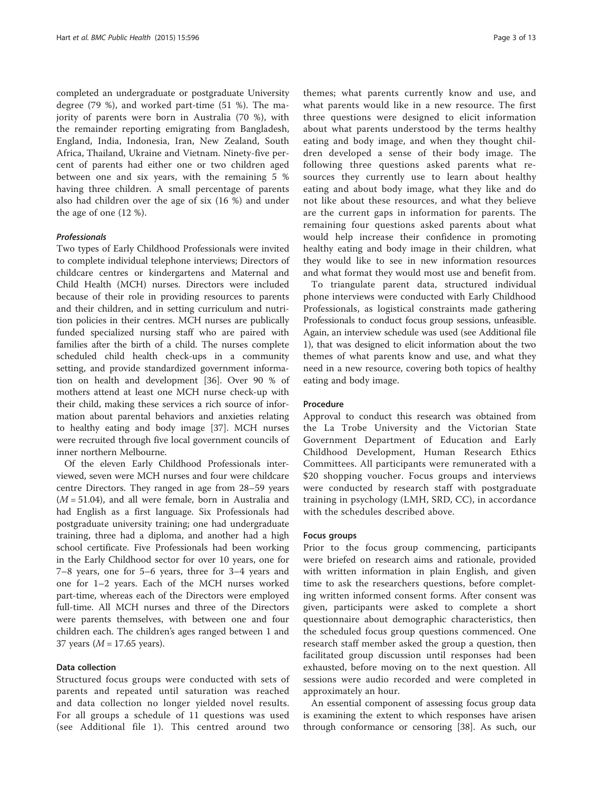completed an undergraduate or postgraduate University degree (79 %), and worked part-time (51 %). The majority of parents were born in Australia (70 %), with the remainder reporting emigrating from Bangladesh, England, India, Indonesia, Iran, New Zealand, South Africa, Thailand, Ukraine and Vietnam. Ninety-five percent of parents had either one or two children aged between one and six years, with the remaining 5 % having three children. A small percentage of parents also had children over the age of six (16 %) and under the age of one (12 %).

## Professionals

Two types of Early Childhood Professionals were invited to complete individual telephone interviews; Directors of childcare centres or kindergartens and Maternal and Child Health (MCH) nurses. Directors were included because of their role in providing resources to parents and their children, and in setting curriculum and nutrition policies in their centres. MCH nurses are publically funded specialized nursing staff who are paired with families after the birth of a child. The nurses complete scheduled child health check-ups in a community setting, and provide standardized government information on health and development [[36\]](#page-11-0). Over 90 % of mothers attend at least one MCH nurse check-up with their child, making these services a rich source of information about parental behaviors and anxieties relating to healthy eating and body image [[37](#page-11-0)]. MCH nurses were recruited through five local government councils of inner northern Melbourne.

Of the eleven Early Childhood Professionals interviewed, seven were MCH nurses and four were childcare centre Directors. They ranged in age from 28–59 years  $(M = 51.04)$ , and all were female, born in Australia and had English as a first language. Six Professionals had postgraduate university training; one had undergraduate training, three had a diploma, and another had a high school certificate. Five Professionals had been working in the Early Childhood sector for over 10 years, one for 7–8 years, one for 5–6 years, three for 3–4 years and one for 1–2 years. Each of the MCH nurses worked part-time, whereas each of the Directors were employed full-time. All MCH nurses and three of the Directors were parents themselves, with between one and four children each. The children's ages ranged between 1 and 37 years ( $M = 17.65$  years).

## Data collection

Structured focus groups were conducted with sets of parents and repeated until saturation was reached and data collection no longer yielded novel results. For all groups a schedule of 11 questions was used (see Additional file [1\)](#page-10-0). This centred around two

themes; what parents currently know and use, and what parents would like in a new resource. The first three questions were designed to elicit information about what parents understood by the terms healthy eating and body image, and when they thought children developed a sense of their body image. The following three questions asked parents what resources they currently use to learn about healthy eating and about body image, what they like and do not like about these resources, and what they believe are the current gaps in information for parents. The remaining four questions asked parents about what would help increase their confidence in promoting healthy eating and body image in their children, what they would like to see in new information resources and what format they would most use and benefit from.

To triangulate parent data, structured individual phone interviews were conducted with Early Childhood Professionals, as logistical constraints made gathering Professionals to conduct focus group sessions, unfeasible. Again, an interview schedule was used (see Additional file [1\)](#page-10-0), that was designed to elicit information about the two themes of what parents know and use, and what they need in a new resource, covering both topics of healthy eating and body image.

## Procedure

Approval to conduct this research was obtained from the La Trobe University and the Victorian State Government Department of Education and Early Childhood Development, Human Research Ethics Committees. All participants were remunerated with a \$20 shopping voucher. Focus groups and interviews were conducted by research staff with postgraduate training in psychology (LMH, SRD, CC), in accordance with the schedules described above.

## Focus groups

Prior to the focus group commencing, participants were briefed on research aims and rationale, provided with written information in plain English, and given time to ask the researchers questions, before completing written informed consent forms. After consent was given, participants were asked to complete a short questionnaire about demographic characteristics, then the scheduled focus group questions commenced. One research staff member asked the group a question, then facilitated group discussion until responses had been exhausted, before moving on to the next question. All sessions were audio recorded and were completed in approximately an hour.

An essential component of assessing focus group data is examining the extent to which responses have arisen through conformance or censoring [\[38](#page-11-0)]. As such, our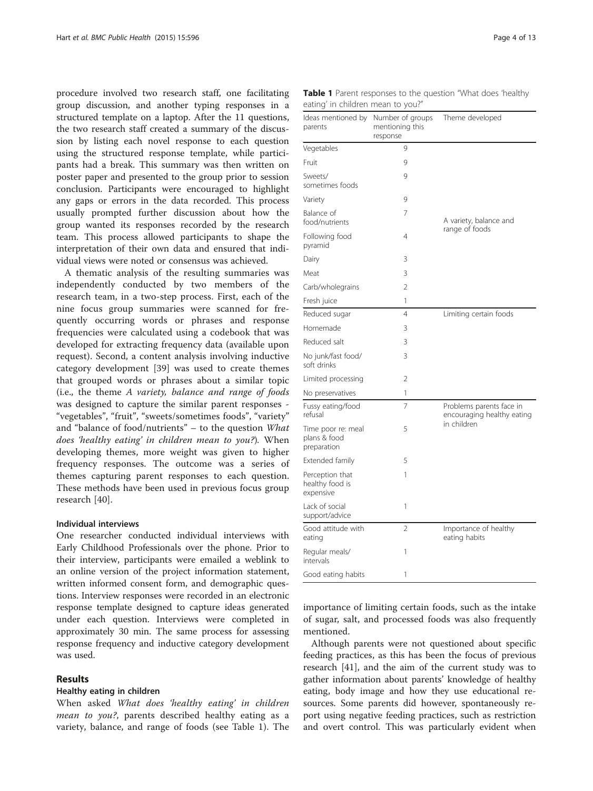procedure involved two research staff, one facilitating group discussion, and another typing responses in a structured template on a laptop. After the 11 questions, the two research staff created a summary of the discussion by listing each novel response to each question using the structured response template, while participants had a break. This summary was then written on poster paper and presented to the group prior to session conclusion. Participants were encouraged to highlight any gaps or errors in the data recorded. This process usually prompted further discussion about how the group wanted its responses recorded by the research team. This process allowed participants to shape the interpretation of their own data and ensured that individual views were noted or consensus was achieved.

A thematic analysis of the resulting summaries was independently conducted by two members of the research team, in a two-step process. First, each of the nine focus group summaries were scanned for frequently occurring words or phrases and response frequencies were calculated using a codebook that was developed for extracting frequency data (available upon request). Second, a content analysis involving inductive category development [\[39](#page-11-0)] was used to create themes that grouped words or phrases about a similar topic (i.e., the theme A variety, balance and range of foods was designed to capture the similar parent responses - "vegetables", "fruit", "sweets/sometimes foods", "variety" and "balance of food/nutrients" – to the question What does 'healthy eating' in children mean to you?). When developing themes, more weight was given to higher frequency responses. The outcome was a series of themes capturing parent responses to each question. These methods have been used in previous focus group research [[40\]](#page-11-0).

#### Individual interviews

One researcher conducted individual interviews with Early Childhood Professionals over the phone. Prior to their interview, participants were emailed a weblink to an online version of the project information statement, written informed consent form, and demographic questions. Interview responses were recorded in an electronic response template designed to capture ideas generated under each question. Interviews were completed in approximately 30 min. The same process for assessing response frequency and inductive category development was used.

## Results

## Healthy eating in children

When asked What does 'healthy eating' in children mean to you?, parents described healthy eating as a variety, balance, and range of foods (see Table 1). The

Table 1 Parent responses to the question "What does 'healthy eating' in children mean to you?"

| Ideas mentioned by<br>parents                     | Number of groups<br>mentioning this<br>response | Theme developed                                        |  |  |
|---------------------------------------------------|-------------------------------------------------|--------------------------------------------------------|--|--|
| Vegetables                                        | 9                                               |                                                        |  |  |
| Fruit                                             | 9                                               |                                                        |  |  |
| Sweets/<br>sometimes foods                        | 9                                               |                                                        |  |  |
| Variety                                           | 9                                               |                                                        |  |  |
| Balance of<br>food/nutrients                      | 7                                               | A variety, balance and                                 |  |  |
| Following food<br>pyramid                         | 4                                               | range of foods                                         |  |  |
| Dairy                                             | 3                                               |                                                        |  |  |
| Meat                                              | 3                                               |                                                        |  |  |
| Carb/wholegrains                                  | 2                                               |                                                        |  |  |
| Fresh juice                                       | 1                                               |                                                        |  |  |
| Reduced sugar                                     | 4                                               | Limiting certain foods                                 |  |  |
| Homemade                                          | 3                                               |                                                        |  |  |
| Reduced salt                                      | 3                                               |                                                        |  |  |
| No junk/fast food/<br>soft drinks                 | 3                                               |                                                        |  |  |
| Limited processing                                | 2                                               |                                                        |  |  |
| No preservatives                                  | 1                                               |                                                        |  |  |
| Fussy eating/food<br>refusal                      | $\overline{7}$                                  | Problems parents face in<br>encouraging healthy eating |  |  |
| Time poor re: meal<br>plans & food<br>preparation | 5                                               | in children                                            |  |  |
| Extended family                                   | 5                                               |                                                        |  |  |
| Perception that<br>healthy food is<br>expensive   | 1                                               |                                                        |  |  |
| Lack of social<br>support/advice                  | 1                                               |                                                        |  |  |
| Good attitude with<br>eating                      | $\overline{2}$                                  | Importance of healthy<br>eating habits                 |  |  |
| Regular meals/<br>intervals                       | 1                                               |                                                        |  |  |
| Good eating habits                                | 1                                               |                                                        |  |  |

importance of limiting certain foods, such as the intake of sugar, salt, and processed foods was also frequently mentioned.

Although parents were not questioned about specific feeding practices, as this has been the focus of previous research [\[41\]](#page-11-0), and the aim of the current study was to gather information about parents' knowledge of healthy eating, body image and how they use educational resources. Some parents did however, spontaneously report using negative feeding practices, such as restriction and overt control. This was particularly evident when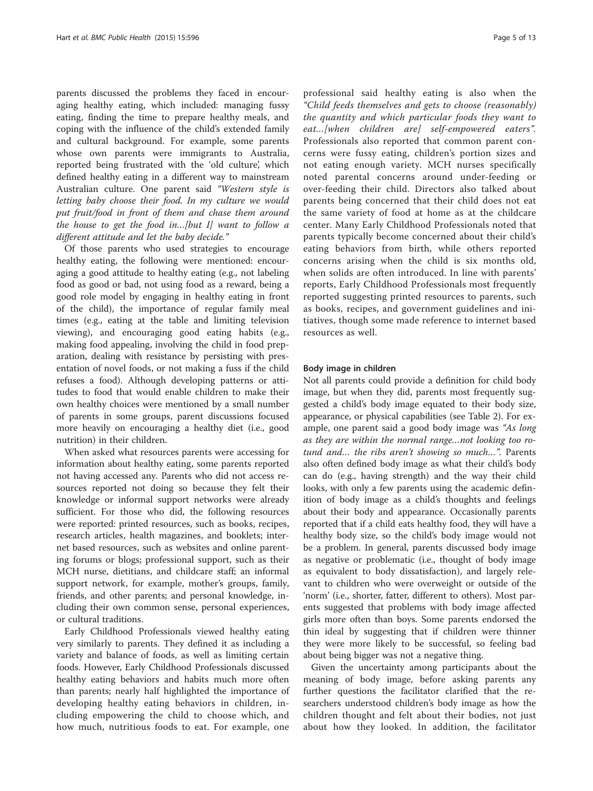parents discussed the problems they faced in encouraging healthy eating, which included: managing fussy eating, finding the time to prepare healthy meals, and coping with the influence of the child's extended family and cultural background. For example, some parents whose own parents were immigrants to Australia, reported being frustrated with the 'old culture', which defined healthy eating in a different way to mainstream Australian culture. One parent said "Western style is letting baby choose their food. In my culture we would put fruit/food in front of them and chase them around the house to get the food in... [but I] want to follow a different attitude and let the baby decide."

Of those parents who used strategies to encourage healthy eating, the following were mentioned: encouraging a good attitude to healthy eating (e.g., not labeling food as good or bad, not using food as a reward, being a good role model by engaging in healthy eating in front of the child), the importance of regular family meal times (e.g., eating at the table and limiting television viewing), and encouraging good eating habits (e.g., making food appealing, involving the child in food preparation, dealing with resistance by persisting with presentation of novel foods, or not making a fuss if the child refuses a food). Although developing patterns or attitudes to food that would enable children to make their own healthy choices were mentioned by a small number of parents in some groups, parent discussions focused more heavily on encouraging a healthy diet (i.e., good nutrition) in their children.

When asked what resources parents were accessing for information about healthy eating, some parents reported not having accessed any. Parents who did not access resources reported not doing so because they felt their knowledge or informal support networks were already sufficient. For those who did, the following resources were reported: printed resources, such as books, recipes, research articles, health magazines, and booklets; internet based resources, such as websites and online parenting forums or blogs; professional support, such as their MCH nurse, dietitians, and childcare staff; an informal support network, for example, mother's groups, family, friends, and other parents; and personal knowledge, including their own common sense, personal experiences, or cultural traditions.

Early Childhood Professionals viewed healthy eating very similarly to parents. They defined it as including a variety and balance of foods, as well as limiting certain foods. However, Early Childhood Professionals discussed healthy eating behaviors and habits much more often than parents; nearly half highlighted the importance of developing healthy eating behaviors in children, including empowering the child to choose which, and how much, nutritious foods to eat. For example, one

professional said healthy eating is also when the "Child feeds themselves and gets to choose (reasonably) the quantity and which particular foods they want to eat…[when children are] self-empowered eaters". Professionals also reported that common parent concerns were fussy eating, children's portion sizes and not eating enough variety. MCH nurses specifically noted parental concerns around under-feeding or over-feeding their child. Directors also talked about parents being concerned that their child does not eat the same variety of food at home as at the childcare center. Many Early Childhood Professionals noted that parents typically become concerned about their child's eating behaviors from birth, while others reported concerns arising when the child is six months old, when solids are often introduced. In line with parents' reports, Early Childhood Professionals most frequently reported suggesting printed resources to parents, such as books, recipes, and government guidelines and initiatives, though some made reference to internet based resources as well.

## Body image in children

Not all parents could provide a definition for child body image, but when they did, parents most frequently suggested a child's body image equated to their body size, appearance, or physical capabilities (see Table [2](#page-5-0)). For example, one parent said a good body image was "As long as they are within the normal range…not looking too rotund and… the ribs aren't showing so much…". Parents also often defined body image as what their child's body can do (e.g., having strength) and the way their child looks, with only a few parents using the academic definition of body image as a child's thoughts and feelings about their body and appearance. Occasionally parents reported that if a child eats healthy food, they will have a healthy body size, so the child's body image would not be a problem. In general, parents discussed body image as negative or problematic (i.e., thought of body image as equivalent to body dissatisfaction), and largely relevant to children who were overweight or outside of the 'norm' (i.e., shorter, fatter, different to others). Most parents suggested that problems with body image affected girls more often than boys. Some parents endorsed the thin ideal by suggesting that if children were thinner they were more likely to be successful, so feeling bad about being bigger was not a negative thing.

Given the uncertainty among participants about the meaning of body image, before asking parents any further questions the facilitator clarified that the researchers understood children's body image as how the children thought and felt about their bodies, not just about how they looked. In addition, the facilitator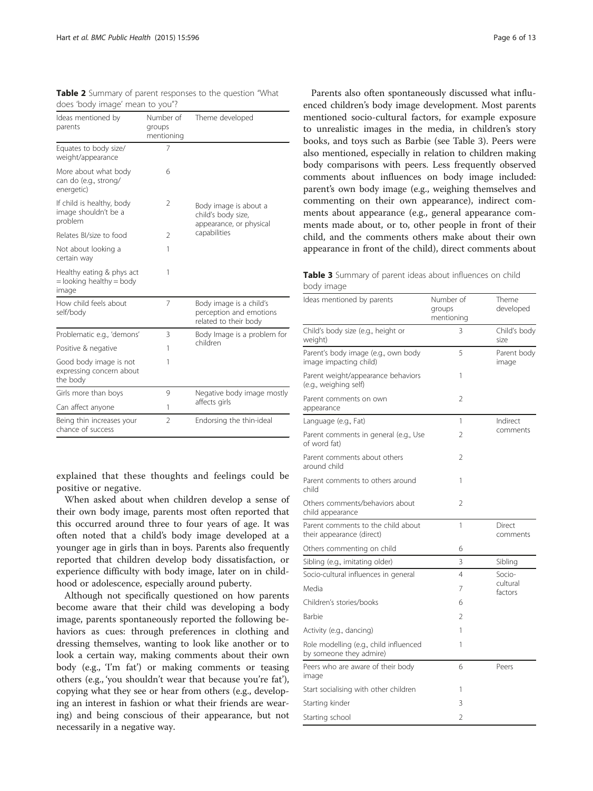<span id="page-5-0"></span>

| <b>Table 2</b> Summary of parent responses to the question "What |  |
|------------------------------------------------------------------|--|
| does 'body image' mean to you"?                                  |  |

| abes boay image mean to you                                    |                                   |                                                                             |  |
|----------------------------------------------------------------|-----------------------------------|-----------------------------------------------------------------------------|--|
| Ideas mentioned by<br>parents                                  | Number of<br>groups<br>mentioning | Theme developed                                                             |  |
| Equates to body size/<br>weight/appearance                     | 7                                 |                                                                             |  |
| More about what body<br>can do (e.g., strong/<br>energetic)    | 6                                 |                                                                             |  |
| If child is healthy, body<br>image shouldn't be a<br>problem   | 2                                 | Body image is about a<br>child's body size,<br>appearance, or physical      |  |
| Relates BI/size to food                                        | 2                                 | capabilities                                                                |  |
| Not about looking a<br>certain way                             | 1                                 |                                                                             |  |
| Healthy eating & phys act<br>= looking healthy = body<br>image | 1                                 |                                                                             |  |
| How child feels about<br>self/body                             | $\overline{7}$                    | Body image is a child's<br>perception and emotions<br>related to their body |  |
| Problematic e.g., 'demons'                                     | 3                                 | Body Image is a problem for                                                 |  |
| Positive & negative                                            | 1                                 | children                                                                    |  |
| Good body image is not<br>expressing concern about<br>the body | 1                                 |                                                                             |  |
| Girls more than boys                                           | 9                                 | Negative body image mostly                                                  |  |
| Can affect anyone                                              | 1                                 | affects girls                                                               |  |
| Being thin increases your<br>chance of success                 | $\overline{2}$                    | Endorsing the thin-ideal                                                    |  |

explained that these thoughts and feelings could be positive or negative.

When asked about when children develop a sense of their own body image, parents most often reported that this occurred around three to four years of age. It was often noted that a child's body image developed at a younger age in girls than in boys. Parents also frequently reported that children develop body dissatisfaction, or experience difficulty with body image, later on in childhood or adolescence, especially around puberty.

Although not specifically questioned on how parents become aware that their child was developing a body image, parents spontaneously reported the following behaviors as cues: through preferences in clothing and dressing themselves, wanting to look like another or to look a certain way, making comments about their own body (e.g., 'I'm fat') or making comments or teasing others (e.g., 'you shouldn't wear that because you're fat'), copying what they see or hear from others (e.g., developing an interest in fashion or what their friends are wearing) and being conscious of their appearance, but not necessarily in a negative way.

Parents also often spontaneously discussed what influenced children's body image development. Most parents mentioned socio-cultural factors, for example exposure to unrealistic images in the media, in children's story books, and toys such as Barbie (see Table 3). Peers were also mentioned, especially in relation to children making body comparisons with peers. Less frequently observed comments about influences on body image included: parent's own body image (e.g., weighing themselves and commenting on their own appearance), indirect comments about appearance (e.g., general appearance comments made about, or to, other people in front of their child, and the comments others make about their own appearance in front of the child), direct comments about

|            |  |  |  | Table 3 Summary of parent ideas about influences on child |  |
|------------|--|--|--|-----------------------------------------------------------|--|
| body image |  |  |  |                                                           |  |

| Ideas mentioned by parents                                        | Number of<br>groups<br>mentioning | Theme<br>developed   |
|-------------------------------------------------------------------|-----------------------------------|----------------------|
| Child's body size (e.g., height or<br>weight)                     | 3                                 | Child's body<br>size |
| Parent's body image (e.g., own body<br>image impacting child)     | 5                                 | Parent body<br>image |
| Parent weight/appearance behaviors<br>(e.g., weighing self)       | 1                                 |                      |
| Parent comments on own<br>appearance                              | $\overline{2}$                    |                      |
| Language (e.g., Fat)                                              | 1                                 | Indirect             |
| Parent comments in general (e.g., Use<br>of word fat)             | $\overline{2}$                    | comments             |
| Parent comments about others<br>around child                      | 2                                 |                      |
| Parent comments to others around<br>child                         | 1                                 |                      |
| Others comments/behaviors about<br>child appearance               | 2                                 |                      |
| Parent comments to the child about<br>their appearance (direct)   | 1                                 | Direct<br>comments   |
| Others commenting on child                                        | 6                                 |                      |
| Sibling (e.g., imitating older)                                   | 3                                 | Sibling              |
| Socio-cultural influences in general                              | $\overline{4}$                    | Socio-               |
| Media                                                             | 7                                 | cultural<br>factors  |
| Children's stories/books                                          | 6                                 |                      |
| Barbie                                                            | $\overline{2}$                    |                      |
| Activity (e.g., dancing)                                          | 1                                 |                      |
| Role modelling (e.g., child influenced<br>by someone they admire) | 1                                 |                      |
| Peers who are aware of their body<br>image                        | 6                                 | Peers                |
| Start socialising with other children                             | 1                                 |                      |
| Starting kinder                                                   | 3                                 |                      |
| Starting school                                                   | $\mathfrak{D}$                    |                      |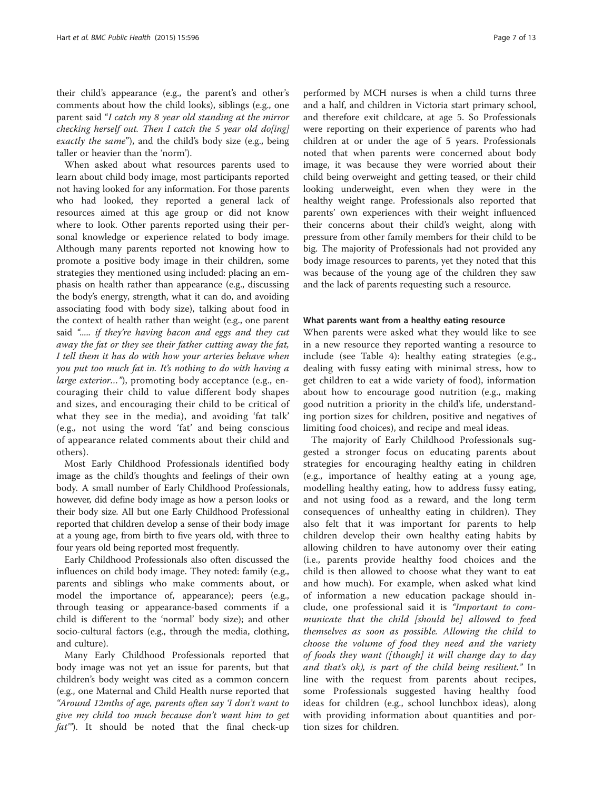their child's appearance (e.g., the parent's and other's comments about how the child looks), siblings (e.g., one parent said "I catch my 8 year old standing at the mirror checking herself out. Then I catch the 5 year old do[ing] exactly the same"), and the child's body size (e.g., being taller or heavier than the 'norm').

When asked about what resources parents used to learn about child body image, most participants reported not having looked for any information. For those parents who had looked, they reported a general lack of resources aimed at this age group or did not know where to look. Other parents reported using their personal knowledge or experience related to body image. Although many parents reported not knowing how to promote a positive body image in their children, some strategies they mentioned using included: placing an emphasis on health rather than appearance (e.g., discussing the body's energy, strength, what it can do, and avoiding associating food with body size), talking about food in the context of health rather than weight (e.g., one parent said "..... if they're having bacon and eggs and they cut away the fat or they see their father cutting away the fat, I tell them it has do with how your arteries behave when you put too much fat in. It's nothing to do with having a large exterior..."), promoting body acceptance (e.g., encouraging their child to value different body shapes and sizes, and encouraging their child to be critical of what they see in the media), and avoiding 'fat talk' (e.g., not using the word 'fat' and being conscious of appearance related comments about their child and others).

Most Early Childhood Professionals identified body image as the child's thoughts and feelings of their own body. A small number of Early Childhood Professionals, however, did define body image as how a person looks or their body size. All but one Early Childhood Professional reported that children develop a sense of their body image at a young age, from birth to five years old, with three to four years old being reported most frequently.

Early Childhood Professionals also often discussed the influences on child body image. They noted: family (e.g., parents and siblings who make comments about, or model the importance of, appearance); peers (e.g., through teasing or appearance-based comments if a child is different to the 'normal' body size); and other socio-cultural factors (e.g., through the media, clothing, and culture).

Many Early Childhood Professionals reported that body image was not yet an issue for parents, but that children's body weight was cited as a common concern (e.g., one Maternal and Child Health nurse reported that "Around 12mths of age, parents often say 'I don't want to give my child too much because don't want him to get fat'"). It should be noted that the final check-up

performed by MCH nurses is when a child turns three and a half, and children in Victoria start primary school, and therefore exit childcare, at age 5. So Professionals were reporting on their experience of parents who had children at or under the age of 5 years. Professionals noted that when parents were concerned about body image, it was because they were worried about their child being overweight and getting teased, or their child looking underweight, even when they were in the healthy weight range. Professionals also reported that parents' own experiences with their weight influenced their concerns about their child's weight, along with pressure from other family members for their child to be big. The majority of Professionals had not provided any body image resources to parents, yet they noted that this was because of the young age of the children they saw and the lack of parents requesting such a resource.

#### What parents want from a healthy eating resource

When parents were asked what they would like to see in a new resource they reported wanting a resource to include (see Table [4](#page-7-0)): healthy eating strategies (e.g., dealing with fussy eating with minimal stress, how to get children to eat a wide variety of food), information about how to encourage good nutrition (e.g., making good nutrition a priority in the child's life, understanding portion sizes for children, positive and negatives of limiting food choices), and recipe and meal ideas.

The majority of Early Childhood Professionals suggested a stronger focus on educating parents about strategies for encouraging healthy eating in children (e.g., importance of healthy eating at a young age, modelling healthy eating, how to address fussy eating, and not using food as a reward, and the long term consequences of unhealthy eating in children). They also felt that it was important for parents to help children develop their own healthy eating habits by allowing children to have autonomy over their eating (i.e., parents provide healthy food choices and the child is then allowed to choose what they want to eat and how much). For example, when asked what kind of information a new education package should include, one professional said it is "Important to communicate that the child [should be] allowed to feed themselves as soon as possible. Allowing the child to choose the volume of food they need and the variety of foods they want ([though] it will change day to day and that's ok), is part of the child being resilient." In line with the request from parents about recipes, some Professionals suggested having healthy food ideas for children (e.g., school lunchbox ideas), along with providing information about quantities and portion sizes for children.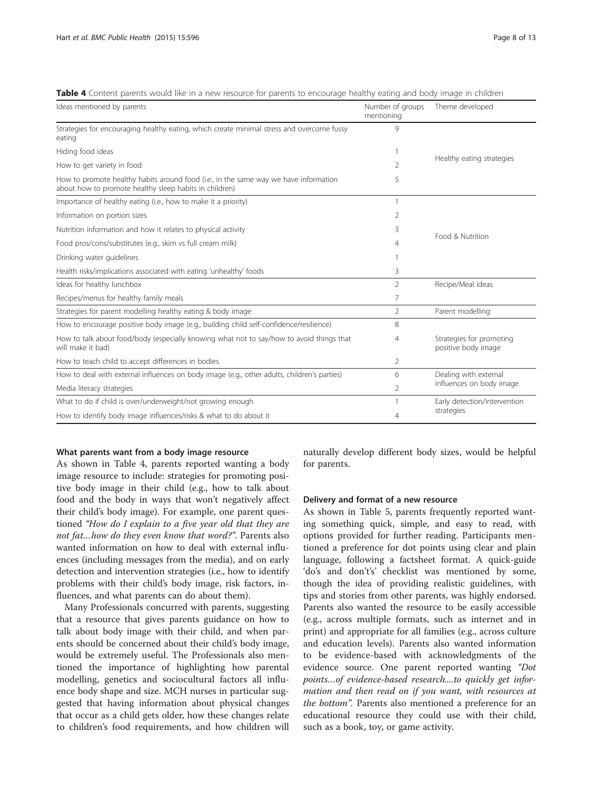| Ideas mentioned by parents                                                                                                                     | Number of groups<br>mentioning | Theme developed                                 |  |  |
|------------------------------------------------------------------------------------------------------------------------------------------------|--------------------------------|-------------------------------------------------|--|--|
| Strategies for encouraging healthy eating, which create minimal stress and overcome fussy<br>eating                                            | 9                              |                                                 |  |  |
| Hiding food ideas                                                                                                                              |                                |                                                 |  |  |
| How to get variety in food                                                                                                                     | 2                              | Healthy eating strategies                       |  |  |
| How to promote healthy habits around food (i.e., in the same way we have information<br>about how to promote healthy sleep habits in children) | 5                              |                                                 |  |  |
| Importance of healthy eating (i.e., how to make it a priority)                                                                                 |                                |                                                 |  |  |
| Information on portion sizes                                                                                                                   | 2                              |                                                 |  |  |
| Nutrition information and how it relates to physical activity                                                                                  | 3                              | Food & Nutrition                                |  |  |
| Food pros/cons/substitutes (e.g., skim vs full cream milk)                                                                                     | 4                              |                                                 |  |  |
| Drinking water guidelines                                                                                                                      |                                |                                                 |  |  |
| Health risks/implications associated with eating 'unhealthy' foods                                                                             | 3                              |                                                 |  |  |
| Ideas for healthy lunchbox                                                                                                                     | $\mathfrak{D}$                 | Recipe/Meal ideas                               |  |  |
| Recipes/menus for healthy family meals                                                                                                         | 7                              |                                                 |  |  |
| Strategies for parent modelling healthy eating & body image                                                                                    | $\overline{2}$                 | Parent modelling                                |  |  |
| How to encourage positive body image (e.g., building child self-confidence/resilience)                                                         | 8                              |                                                 |  |  |
| How to talk about food/body (especially knowing what not to say/how to avoid things that<br>will make it bad)                                  | 4                              | Strategies for promoting<br>positive body image |  |  |
| How to teach child to accept differences in bodies                                                                                             | 2                              |                                                 |  |  |
| How to deal with external influences on body image (e.g., other adults, children's parties)                                                    | 6                              | Dealing with external                           |  |  |
| Media literacy strategies                                                                                                                      | 2                              | influences on body image                        |  |  |
| What to do if child is over/underweight/not growing enough                                                                                     |                                | Early detection/intervention                    |  |  |
| How to identify body image influences/risks & what to do about it                                                                              | 4                              | strategies                                      |  |  |

<span id="page-7-0"></span>Table 4 Content parents would like in a new resource for parents to encourage healthy eating and body image in children

### What parents want from a body image resource

As shown in Table 4, parents reported wanting a body image resource to include: strategies for promoting positive body image in their child (e.g., how to talk about food and the body in ways that won't negatively affect their child's body image). For example, one parent questioned "How do I explain to a five year old that they are not fat…how do they even know that word?". Parents also wanted information on how to deal with external influences (including messages from the media), and on early detection and intervention strategies (i.e., how to identify problems with their child's body image, risk factors, influences, and what parents can do about them).

Many Professionals concurred with parents, suggesting that a resource that gives parents guidance on how to talk about body image with their child, and when parents should be concerned about their child's body image, would be extremely useful. The Professionals also mentioned the importance of highlighting how parental modelling, genetics and sociocultural factors all influence body shape and size. MCH nurses in particular suggested that having information about physical changes that occur as a child gets older, how these changes relate to children's food requirements, and how children will

naturally develop different body sizes, would be helpful for parents.

#### Delivery and format of a new resource

As shown in Table [5,](#page-8-0) parents frequently reported wanting something quick, simple, and easy to read, with options provided for further reading. Participants mentioned a preference for dot points using clear and plain language, following a factsheet format. A quick-guide 'do's and don't's' checklist was mentioned by some, though the idea of providing realistic guidelines, with tips and stories from other parents, was highly endorsed. Parents also wanted the resource to be easily accessible (e.g., across multiple formats, such as internet and in print) and appropriate for all families (e.g., across culture and education levels). Parents also wanted information to be evidence-based with acknowledgments of the evidence source. One parent reported wanting "Dot points…of evidence-based research....to quickly get information and then read on if you want, with resources at the bottom". Parents also mentioned a preference for an educational resource they could use with their child, such as a book, toy, or game activity.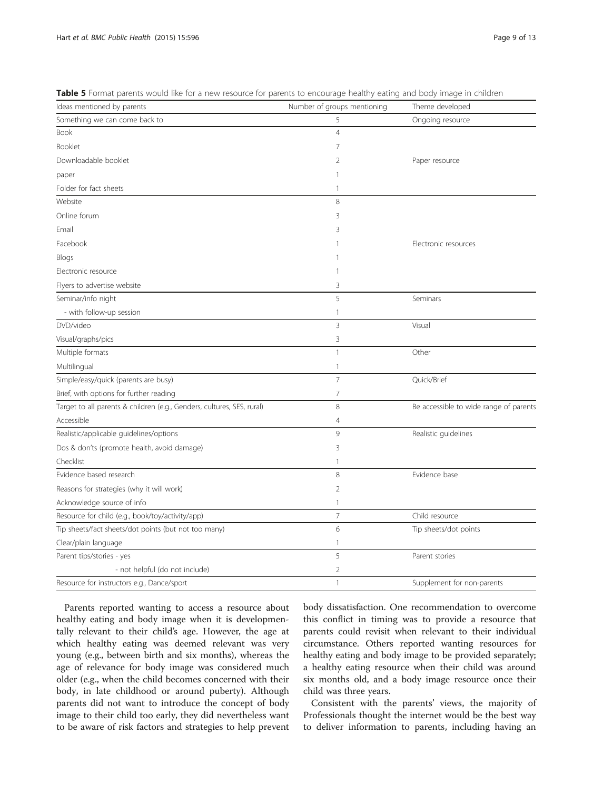| Ideas mentioned by parents                                             | Number of groups mentioning | Theme developed                        |
|------------------------------------------------------------------------|-----------------------------|----------------------------------------|
| Something we can come back to                                          | 5                           | Ongoing resource                       |
| Book                                                                   | $\overline{4}$              |                                        |
| Booklet                                                                | 7                           |                                        |
| Downloadable booklet                                                   | 2                           | Paper resource                         |
| paper                                                                  | 1                           |                                        |
| Folder for fact sheets                                                 | 1                           |                                        |
| Website                                                                | 8                           |                                        |
| Online forum                                                           | 3                           |                                        |
| Email                                                                  | 3                           |                                        |
| Facebook                                                               |                             | Electronic resources                   |
| Blogs                                                                  |                             |                                        |
| Electronic resource                                                    |                             |                                        |
| Flyers to advertise website                                            | 3                           |                                        |
| Seminar/info night                                                     | 5                           | Seminars                               |
| - with follow-up session                                               | $\mathbf{1}$                |                                        |
| DVD/video                                                              | 3                           | Visual                                 |
| Visual/graphs/pics                                                     | 3                           |                                        |
| Multiple formats                                                       | 1                           | Other                                  |
| Multilingual                                                           | 1                           |                                        |
| Simple/easy/quick (parents are busy)                                   | $\overline{7}$              | Quick/Brief                            |
| Brief, with options for further reading                                | 7                           |                                        |
| Target to all parents & children (e.g., Genders, cultures, SES, rural) | 8                           | Be accessible to wide range of parents |
| Accessible                                                             | $\overline{4}$              |                                        |
| Realistic/applicable guidelines/options                                | 9                           | Realistic guidelines                   |
| Dos & don'ts (promote health, avoid damage)                            | 3                           |                                        |
| Checklist                                                              | 1                           |                                        |
| Evidence based research                                                | 8                           | Evidence base                          |
| Reasons for strategies (why it will work)                              | $\overline{2}$              |                                        |
| Acknowledge source of info                                             | 1                           |                                        |
| Resource for child (e.g., book/toy/activity/app)                       | $\overline{7}$              | Child resource                         |
| Tip sheets/fact sheets/dot points (but not too many)                   | 6                           | Tip sheets/dot points                  |
| Clear/plain language                                                   | 1                           |                                        |
| Parent tips/stories - yes                                              | 5                           | Parent stories                         |
| - not helpful (do not include)                                         | 2                           |                                        |
| Resource for instructors e.g., Dance/sport                             | $\mathbf{1}$                | Supplement for non-parents             |

<span id="page-8-0"></span>Table 5 Format parents would like for a new resource for parents to encourage healthy eating and body image in children

Parents reported wanting to access a resource about healthy eating and body image when it is developmentally relevant to their child's age. However, the age at which healthy eating was deemed relevant was very young (e.g., between birth and six months), whereas the age of relevance for body image was considered much older (e.g., when the child becomes concerned with their body, in late childhood or around puberty). Although parents did not want to introduce the concept of body image to their child too early, they did nevertheless want to be aware of risk factors and strategies to help prevent

body dissatisfaction. One recommendation to overcome this conflict in timing was to provide a resource that parents could revisit when relevant to their individual circumstance. Others reported wanting resources for healthy eating and body image to be provided separately; a healthy eating resource when their child was around six months old, and a body image resource once their child was three years.

Consistent with the parents' views, the majority of Professionals thought the internet would be the best way to deliver information to parents, including having an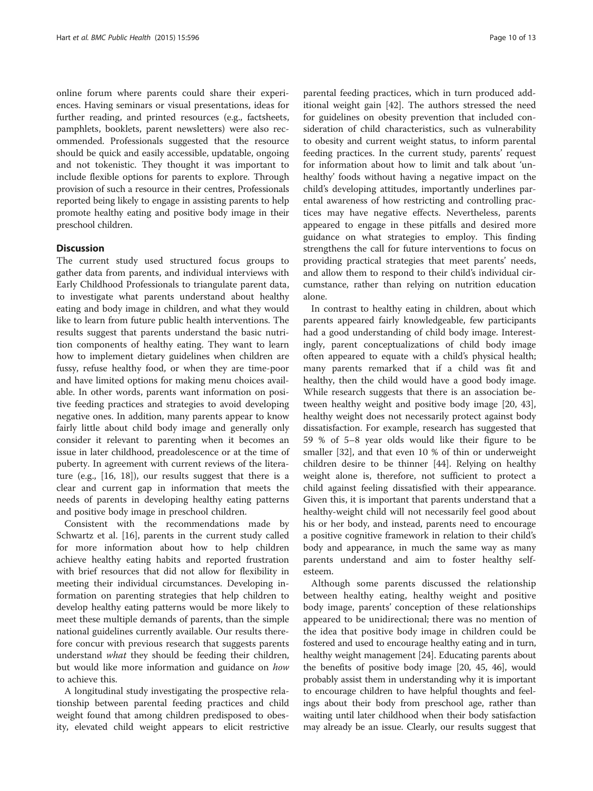online forum where parents could share their experiences. Having seminars or visual presentations, ideas for further reading, and printed resources (e.g., factsheets, pamphlets, booklets, parent newsletters) were also recommended. Professionals suggested that the resource should be quick and easily accessible, updatable, ongoing and not tokenistic. They thought it was important to include flexible options for parents to explore. Through provision of such a resource in their centres, Professionals reported being likely to engage in assisting parents to help promote healthy eating and positive body image in their preschool children.

## **Discussion**

The current study used structured focus groups to gather data from parents, and individual interviews with Early Childhood Professionals to triangulate parent data, to investigate what parents understand about healthy eating and body image in children, and what they would like to learn from future public health interventions. The results suggest that parents understand the basic nutrition components of healthy eating. They want to learn how to implement dietary guidelines when children are fussy, refuse healthy food, or when they are time-poor and have limited options for making menu choices available. In other words, parents want information on positive feeding practices and strategies to avoid developing negative ones. In addition, many parents appear to know fairly little about child body image and generally only consider it relevant to parenting when it becomes an issue in later childhood, preadolescence or at the time of puberty. In agreement with current reviews of the literature (e.g., [\[16](#page-11-0), [18\]](#page-11-0)), our results suggest that there is a clear and current gap in information that meets the needs of parents in developing healthy eating patterns and positive body image in preschool children.

Consistent with the recommendations made by Schwartz et al. [\[16](#page-11-0)], parents in the current study called for more information about how to help children achieve healthy eating habits and reported frustration with brief resources that did not allow for flexibility in meeting their individual circumstances. Developing information on parenting strategies that help children to develop healthy eating patterns would be more likely to meet these multiple demands of parents, than the simple national guidelines currently available. Our results therefore concur with previous research that suggests parents understand *what* they should be feeding their children, but would like more information and guidance on how to achieve this.

A longitudinal study investigating the prospective relationship between parental feeding practices and child weight found that among children predisposed to obesity, elevated child weight appears to elicit restrictive

parental feeding practices, which in turn produced additional weight gain [[42](#page-11-0)]. The authors stressed the need for guidelines on obesity prevention that included consideration of child characteristics, such as vulnerability to obesity and current weight status, to inform parental feeding practices. In the current study, parents' request for information about how to limit and talk about 'unhealthy' foods without having a negative impact on the child's developing attitudes, importantly underlines parental awareness of how restricting and controlling practices may have negative effects. Nevertheless, parents appeared to engage in these pitfalls and desired more guidance on what strategies to employ. This finding strengthens the call for future interventions to focus on providing practical strategies that meet parents' needs, and allow them to respond to their child's individual circumstance, rather than relying on nutrition education alone.

In contrast to healthy eating in children, about which parents appeared fairly knowledgeable, few participants had a good understanding of child body image. Interestingly, parent conceptualizations of child body image often appeared to equate with a child's physical health; many parents remarked that if a child was fit and healthy, then the child would have a good body image. While research suggests that there is an association between healthy weight and positive body image [\[20](#page-11-0), [43](#page-11-0)], healthy weight does not necessarily protect against body dissatisfaction. For example, research has suggested that 59 % of 5–8 year olds would like their figure to be smaller [[32\]](#page-11-0), and that even 10 % of thin or underweight children desire to be thinner [\[44](#page-11-0)]. Relying on healthy weight alone is, therefore, not sufficient to protect a child against feeling dissatisfied with their appearance. Given this, it is important that parents understand that a healthy-weight child will not necessarily feel good about his or her body, and instead, parents need to encourage a positive cognitive framework in relation to their child's body and appearance, in much the same way as many parents understand and aim to foster healthy selfesteem.

Although some parents discussed the relationship between healthy eating, healthy weight and positive body image, parents' conception of these relationships appeared to be unidirectional; there was no mention of the idea that positive body image in children could be fostered and used to encourage healthy eating and in turn, healthy weight management [\[24\]](#page-11-0). Educating parents about the benefits of positive body image [[20](#page-11-0), [45, 46\]](#page-11-0), would probably assist them in understanding why it is important to encourage children to have helpful thoughts and feelings about their body from preschool age, rather than waiting until later childhood when their body satisfaction may already be an issue. Clearly, our results suggest that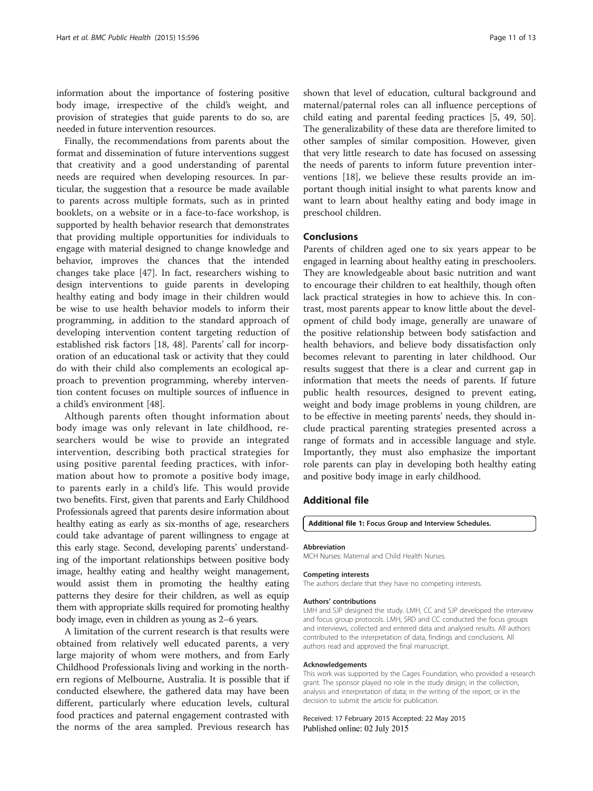<span id="page-10-0"></span>information about the importance of fostering positive body image, irrespective of the child's weight, and provision of strategies that guide parents to do so, are needed in future intervention resources.

Finally, the recommendations from parents about the format and dissemination of future interventions suggest that creativity and a good understanding of parental needs are required when developing resources. In particular, the suggestion that a resource be made available to parents across multiple formats, such as in printed booklets, on a website or in a face-to-face workshop, is supported by health behavior research that demonstrates that providing multiple opportunities for individuals to engage with material designed to change knowledge and behavior, improves the chances that the intended changes take place [[47\]](#page-11-0). In fact, researchers wishing to design interventions to guide parents in developing healthy eating and body image in their children would be wise to use health behavior models to inform their programming, in addition to the standard approach of developing intervention content targeting reduction of established risk factors [[18, 48](#page-11-0)]. Parents' call for incorporation of an educational task or activity that they could do with their child also complements an ecological approach to prevention programming, whereby intervention content focuses on multiple sources of influence in a child's environment [\[48](#page-11-0)].

Although parents often thought information about body image was only relevant in late childhood, researchers would be wise to provide an integrated intervention, describing both practical strategies for using positive parental feeding practices, with information about how to promote a positive body image, to parents early in a child's life. This would provide two benefits. First, given that parents and Early Childhood Professionals agreed that parents desire information about healthy eating as early as six-months of age, researchers could take advantage of parent willingness to engage at this early stage. Second, developing parents' understanding of the important relationships between positive body image, healthy eating and healthy weight management, would assist them in promoting the healthy eating patterns they desire for their children, as well as equip them with appropriate skills required for promoting healthy body image, even in children as young as 2–6 years.

A limitation of the current research is that results were obtained from relatively well educated parents, a very large majority of whom were mothers, and from Early Childhood Professionals living and working in the northern regions of Melbourne, Australia. It is possible that if conducted elsewhere, the gathered data may have been different, particularly where education levels, cultural food practices and paternal engagement contrasted with the norms of the area sampled. Previous research has

shown that level of education, cultural background and maternal/paternal roles can all influence perceptions of child eating and parental feeding practices [[5,](#page-11-0) [49, 50](#page-12-0)]. The generalizability of these data are therefore limited to other samples of similar composition. However, given that very little research to date has focused on assessing the needs of parents to inform future prevention interventions [\[18\]](#page-11-0), we believe these results provide an important though initial insight to what parents know and want to learn about healthy eating and body image in preschool children.

## Conclusions

Parents of children aged one to six years appear to be engaged in learning about healthy eating in preschoolers. They are knowledgeable about basic nutrition and want to encourage their children to eat healthily, though often lack practical strategies in how to achieve this. In contrast, most parents appear to know little about the development of child body image, generally are unaware of the positive relationship between body satisfaction and health behaviors, and believe body dissatisfaction only becomes relevant to parenting in later childhood. Our results suggest that there is a clear and current gap in information that meets the needs of parents. If future public health resources, designed to prevent eating, weight and body image problems in young children, are to be effective in meeting parents' needs, they should include practical parenting strategies presented across a range of formats and in accessible language and style. Importantly, they must also emphasize the important role parents can play in developing both healthy eating and positive body image in early childhood.

## Additional file

#### [Additional file 1:](http://www.biomedcentral.com/content/supplementary/s12889-015-1865-4-s1.docx) Focus Group and Interview Schedules.

#### Abbreviation

MCH Nurses: Maternal and Child Health Nurses.

#### Competing interests

The authors declare that they have no competing interests.

#### Authors' contributions

LMH and SJP designed the study. LMH, CC and SJP developed the interview and focus group protocols. LMH, SRD and CC conducted the focus groups and interviews, collected and entered data and analysed results. All authors contributed to the interpretation of data, findings and conclusions. All authors read and approved the final manuscript.

#### Acknowledgements

This work was supported by the Cages Foundation, who provided a research grant. The sponsor played no role in the study design; in the collection, analysis and interpretation of data; in the writing of the report; or in the decision to submit the article for publication.

#### Received: 17 February 2015 Accepted: 22 May 2015 Published online: 02 July 2015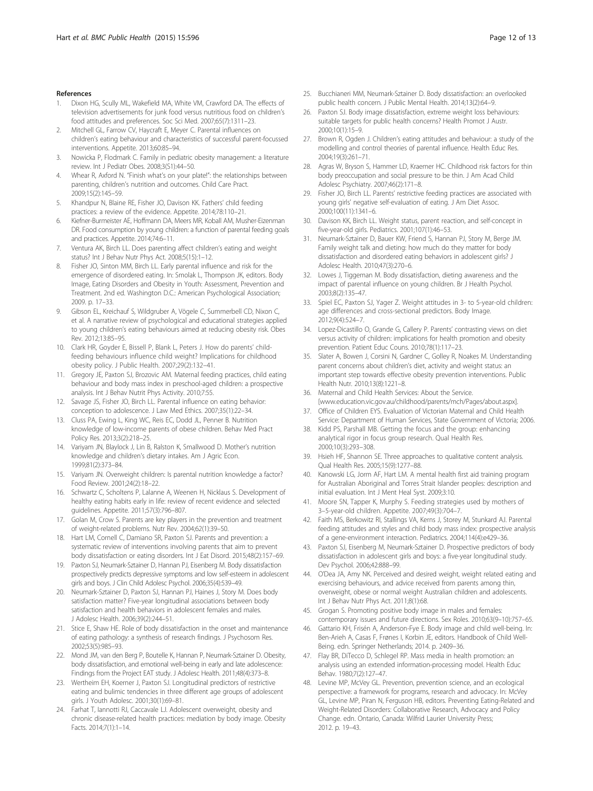- <span id="page-11-0"></span>1. Dixon HG, Scully ML, Wakefield MA, White VM, Crawford DA. The effects of television advertisements for junk food versus nutritious food on children's food attitudes and preferences. Soc Sci Med. 2007;65(7):1311–23.
- 2. Mitchell GL, Farrow CV, Haycraft E, Meyer C. Parental influences on children's eating behaviour and characteristics of successful parent-focussed interventions. Appetite. 2013;60:85–94.
- 3. Nowicka P, Flodmark C. Family in pediatric obesity management: a literature review. Int J Pediatr Obes. 2008;3(S1):44–50.
- 4. Whear R, Axford N. "Finish what's on your plate!": the relationships between parenting, children's nutrition and outcomes. Child Care Pract. 2009;15(2):145–59.
- Khandpur N, Blaine RE, Fisher JO, Davison KK. Fathers' child feeding practices: a review of the evidence. Appetite. 2014;78:110–21.
- 6. Kiefner-Burmeister AE, Hoffmann DA, Meers MR, Koball AM, Musher-Eizenman DR. Food consumption by young children: a function of parental feeding goals and practices. Appetite. 2014;74:6–11.
- 7. Ventura AK, Birch LL. Does parenting affect children's eating and weight status? Int J Behav Nutr Phys Act. 2008;5(15):1–12.
- 8. Fisher JO, Sinton MM, Birch LL. Early parental influence and risk for the emergence of disordered eating. In: Smolak L, Thompson JK, editors. Body Image, Eating Disorders and Obesity in Youth: Assessment, Prevention and Treatment. 2nd ed. Washington D.C.: American Psychological Association; 2009. p. 17–33.
- 9. Gibson EL, Kreichauf S, Wildgruber A, Vögele C, Summerbell CD, Nixon C, et al. A narrative review of psychological and educational strategies applied to young children's eating behaviours aimed at reducing obesity risk. Obes Rev. 2012;13:85–95.
- 10. Clark HR, Goyder E, Bissell P, Blank L, Peters J. How do parents' childfeeding behaviours influence child weight? Implications for childhood obesity policy. J Public Health. 2007;29(2):132–41.
- 11. Gregory JE, Paxton SJ, Brozovic AM. Maternal feeding practices, child eating behaviour and body mass index in preschool-aged children: a prospective analysis. Int J Behav Nutrit Phys Activity. 2010;7:55.
- 12. Savage JS, Fisher JO, Birch LL. Parental influence on eating behavior: conception to adolescence. J Law Med Ethics. 2007;35(1):22–34.
- 13. Cluss PA, Ewing L, King WC, Reis EC, Dodd JL, Penner B. Nutrition knowledge of low-income parents of obese children. Behav Med Pract Policy Res. 2013;3(2):218–25.
- 14. Variyam JN, Blaylock J, Lin B, Ralston K, Smallwood D. Mother's nutrition knowledge and children's dietary intakes. Am J Agric Econ. 1999;81(2):373–84.
- 15. Variyam JN. Overweight children: Is parental nutrition knowledge a factor? Food Review. 2001;24(2):18–22.
- 16. Schwartz C, Scholtens P, Lalanne A, Weenen H, Nicklaus S. Development of healthy eating habits early in life: review of recent evidence and selected guidelines. Appetite. 2011;57(3):796–807.
- 17. Golan M, Crow S. Parents are key players in the prevention and treatment of weight-related problems. Nutr Rev. 2004;62(1):39–50.
- 18. Hart LM, Cornell C, Damiano SR, Paxton SJ. Parents and prevention: a systematic review of interventions involving parents that aim to prevent body dissatisfaction or eating disorders. Int J Eat Disord. 2015;48(2):157–69.
- 19. Paxton SJ, Neumark-Sztainer D, Hannan PJ, Eisenberg M. Body dissatisfaction prospectively predicts depressive symptoms and low self-esteem in adolescent girls and boys. J Clin Child Adolesc Psychol. 2006;35(4):539–49.
- 20. Neumark-Sztainer D, Paxton SJ, Hannan PJ, Haines J, Story M. Does body satisfaction matter? Five-year longitudinal associations between body satisfaction and health behaviors in adolescent females and males. J Adolesc Health. 2006;39(2):244–51.
- 21. Stice E, Shaw HE. Role of body dissatisfaction in the onset and maintenance of eating pathology: a synthesis of research findings. J Psychosom Res. 2002;53(5):985–93.
- 22. Mond JM, van den Berg P, Boutelle K, Hannan P, Neumark-Sztainer D. Obesity, body dissatisfaction, and emotional well-being in early and late adolescence: Findings from the Project EAT study. J Adolesc Health. 2011;48(4):373–8.
- 23. Wertheim EH, Koerner J, Paxton SJ. Longitudinal predictors of restrictive eating and bulimic tendencies in three different age groups of adolescent girls. J Youth Adolesc. 2001;30(1):69–81.
- 24. Farhat T, Iannotti RJ, Caccavale LJ. Adolescent overweight, obesity and chronic disease-related health practices: mediation by body image. Obesity Facts. 2014;7(1):1–14.
- 25. Bucchianeri MM, Neumark-Sztainer D. Body dissatisfaction: an overlooked public health concern. J Public Mental Health. 2014;13(2):64–9.
- 26. Paxton SJ. Body image dissatisfaction, extreme weight loss behaviours: suitable targets for public health concerns? Health Promot J Austr. 2000;10(1):15–9.
- 27. Brown R, Ogden J. Children's eating attitudes and behaviour: a study of the modelling and control theories of parental influence. Health Educ Res. 2004;19(3):261–71.
- 28. Agras W, Bryson S, Hammer LD, Kraemer HC. Childhood risk factors for thin body preoccupation and social pressure to be thin. J Am Acad Child Adolesc Psychiatry. 2007;46(2):171–8.
- 29. Fisher JO, Birch LL. Parents' restrictive feeding practices are associated with young girls' negative self-evaluation of eating. J Am Diet Assoc. 2000;100(11):1341–6.
- 30. Davison KK, Birch LL. Weight status, parent reaction, and self-concept in five-year-old girls. Pediatrics. 2001;107(1):46–53.
- 31. Neumark-Sztainer D, Bauer KW, Friend S, Hannan PJ, Story M, Berge JM. Family weight talk and dieting: how much do they matter for body dissatisfaction and disordered eating behaviors in adolescent girls? J Adolesc Health. 2010;47(3):270–6.
- 32. Lowes J, Tiggeman M. Body dissatisfaction, dieting awareness and the impact of parental influence on young children. Br J Health Psychol. 2003;8(2):135–47.
- 33. Spiel EC, Paxton SJ, Yager Z. Weight attitudes in 3- to 5-year-old children: age differences and cross-sectional predictors. Body Image. 2012;9(4):524–7.
- 34. Lopez-Dicastillo O, Grande G, Callery P. Parents' contrasting views on diet versus activity of children: implications for health promotion and obesity prevention. Patient Educ Couns. 2010;78(1):117–23.
- 35. Slater A, Bowen J, Corsini N, Gardner C, Golley R, Noakes M. Understanding parent concerns about children's diet, activity and weight status: an important step towards effective obesity prevention interventions. Public Health Nutr. 2010;13(8):1221–8.
- 36. Maternal and Child Health Services: About the Service. [[www.education.vic.gov.au/childhood/parents/mch/Pages/about.aspx\]](http://www.education.vic.gov.au/childhood/parents/mch/Pages/about.aspx).
- 37. Office of Children EYS. Evaluation of Victorian Maternal and Child Health Service: Department of Human Services, State Government of Victoria; 2006.
- 38. Kidd PS, Parshall MB. Getting the focus and the group: enhancing analytical rigor in focus group research. Qual Health Res. 2000;10(3):293–308.
- 39. Hsieh HF, Shannon SE. Three approaches to qualitative content analysis. Qual Health Res. 2005;15(9):1277–88.
- 40. Kanowski LG, Jorm AF, Hart LM. A mental health first aid training program for Australian Aboriginal and Torres Strait Islander peoples: description and initial evaluation. Int J Ment Heal Syst. 2009;3:10.
- 41. Moore SN, Tapper K, Murphy S. Feeding strategies used by mothers of 3–5-year-old children. Appetite. 2007;49(3):704–7.
- 42. Faith MS, Berkowitz RI, Stallings VA, Kerns J, Storey M, Stunkard AJ. Parental feeding attitudes and styles and child body mass index: prospective analysis of a gene-environment interaction. Pediatrics. 2004;114(4):e429–36.
- 43. Paxton SJ, Eisenberg M, Neumark-Sztainer D. Prospective predictors of body dissatisfaction in adolescent girls and boys: a five-year longitudinal study. Dev Psychol. 2006;42:888–99.
- 44. O'Dea JA, Amy NK. Perceived and desired weight, weight related eating and exercising behaviours, and advice received from parents among thin, overweight, obese or normal weight Australian children and adolescents. Int J Behav Nutr Phys Act. 2011;8(1):68.
- 45. Grogan S. Promoting positive body image in males and females: contemporary issues and future directions. Sex Roles. 2010;63(9–10):757–65.
- 46. Gattario KH, Frisén A, Anderson-Fye E. Body image and child well-being. In: Ben-Arieh A, Casas F, Frønes I, Korbin JE, editors. Handbook of Child Well-Being. edn. Springer Netherlands; 2014. p. 2409–36.
- 47. Flay BR, DiTecco D, Schlegel RP. Mass media in health promotion: an analysis using an extended information-processing model. Health Educ Behav. 1980;7(2):127–47.
- 48. Levine MP, McVey GL. Prevention, prevention science, and an ecological perspective: a framework for programs, research and advocacy. In: McVey GL, Levine MP, Piran N, Ferguson HB, editors. Preventing Eating-Related and Weight-Related Disorders: Collaborative Research, Advocacy and Policy Change. edn. Ontario, Canada: Wilfrid Laurier University Press; 2012. p. 19–43.